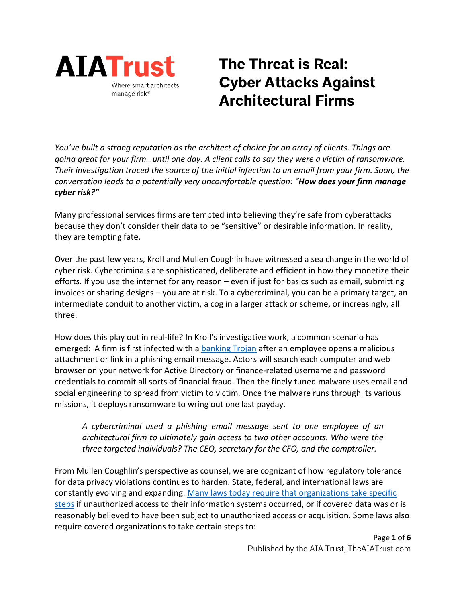

# **The Threat is Real: Cyber Attacks Against Architectural Firms**

*You've built a strong reputation as the architect of choice for an array of clients. Things are going great for your firm…until one day. A client calls to say they were a victim of ransomware. Their investigation traced the source of the initial infection to an email from your firm. Soon, the conversation leads to a potentially very uncomfortable question: "How does your firm manage cyber risk?"*

Many professional services firms are tempted into believing they're safe from cyberattacks because they don't consider their data to be "sensitive" or desirable information. In reality, they are tempting fate.

Over the past few years, Kroll and Mullen Coughlin have witnessed a sea change in the world of cyber risk. Cybercriminals are sophisticated, deliberate and efficient in how they monetize their efforts. If you use the internet for any reason – even if just for basics such as email, submitting invoices or sharing designs – you are at risk. To a cybercriminal, you can be a primary target, an intermediate conduit to another victim, a cog in a larger attack or scheme, or increasingly, all three.

How does this play out in real-life? In Kroll's investigative work, a common scenario has emerged: A firm is first infected with [a banking Trojan](https://www.kroll.com/en/insights/publications/cyber/monitor/fighting-against-banking-trojans) after an employee opens a malicious attachment or link in a phishing email message. Actors will search each computer and web browser on your network for Active Directory or finance-related username and password credentials to commit all sorts of financial fraud. Then the finely tuned malware uses email and social engineering to spread from victim to victim. Once the malware runs through its various missions, it deploys ransomware to wring out one last payday.

*A cybercriminal used a phishing email message sent to one employee of an architectural firm to ultimately gain access to two other accounts. Who were the three targeted individuals? The CEO, secretary for the CFO, and the comptroller.* 

From Mullen Coughlin's perspective as counsel, we are cognizant of how regulatory tolerance for data privacy violations continues to harden. State, federal, and international laws are constantly evolving and expanding. Many laws today [require that organizations take specific](https://www.mullen.law/services/regulatory-investigation/) [steps](https://www.mullen.law/services/regulatory-investigation/) if unauthorized access to their information systems occurred, or if covered data was or is reasonably believed to have been subject to unauthorized access or acquisition. Some laws also require covered organizations to take certain steps to: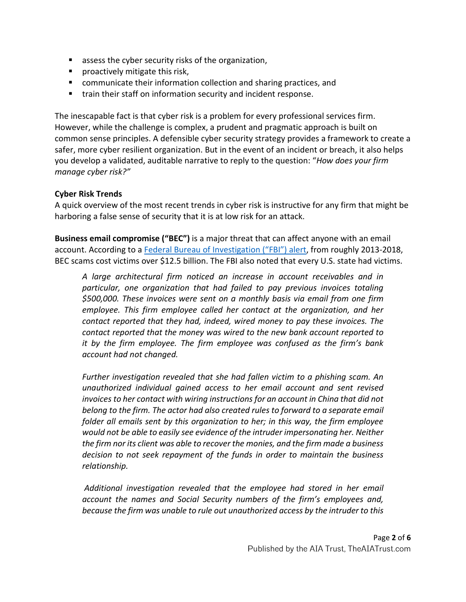- assess the cyber security risks of the organization,
- **Peroactively mitigate this risk,**
- **E** communicate their information collection and sharing practices, and
- train their staff on information security and incident response.

The inescapable fact is that cyber risk is a problem for every professional services firm. However, while the challenge is complex, a prudent and pragmatic approach is built on common sense principles. A defensible cyber security strategy provides a framework to create a safer, more cyber resilient organization. But in the event of an incident or breach, it also helps you develop a validated, auditable narrative to reply to the question: "*How does your firm manage cyber risk?"*

#### **Cyber Risk Trends**

A quick overview of the most recent trends in cyber risk is instructive for any firm that might be harboring a false sense of security that it is at low risk for an attack.

**Business email compromise ("BEC")** is a major threat that can affect anyone with an email account. According to a [Federal Bureau of Investigation \("FBI"\) alert,](https://www.ic3.gov/media/2018/180712.aspx) from roughly 2013-2018, BEC scams cost victims over \$12.5 billion. The FBI also noted that every U.S. state had victims.

*A large architectural firm noticed an increase in account receivables and in particular, one organization that had failed to pay previous invoices totaling \$500,000. These invoices were sent on a monthly basis via email from one firm employee. This firm employee called her contact at the organization, and her contact reported that they had, indeed, wired money to pay these invoices. The contact reported that the money was wired to the new bank account reported to it by the firm employee. The firm employee was confused as the firm's bank account had not changed.* 

*Further investigation revealed that she had fallen victim to a phishing scam. An unauthorized individual gained access to her email account and sent revised invoices to her contact with wiring instructions for an account in China that did not belong to the firm. The actor had also created rules to forward to a separate email folder all emails sent by this organization to her; in this way, the firm employee would not be able to easily see evidence of the intruder impersonating her. Neither the firm nor its client was able to recover the monies, and the firm made a business decision to not seek repayment of the funds in order to maintain the business relationship.* 

*Additional investigation revealed that the employee had stored in her email account the names and Social Security numbers of the firm's employees and, because the firm was unable to rule out unauthorized access by the intruder to this*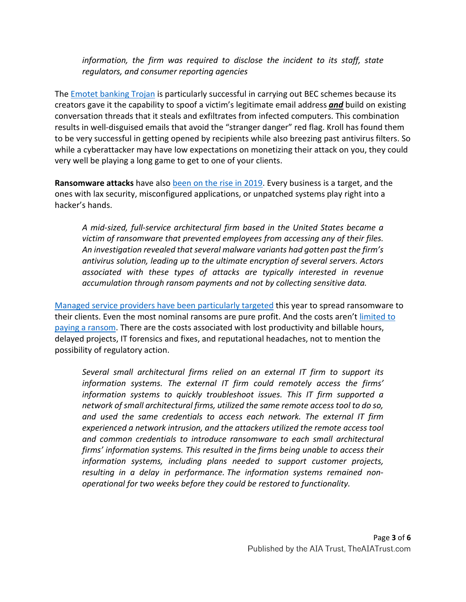*information, the firm was required to disclose the incident to its staff, state regulators, and consumer reporting agencies*

The Emotet [banking Trojan](https://www.kroll.com/en/insights/publications/cyber/monitor/fighting-against-banking-trojans) is particularly successful in carrying out BEC schemes because its creators gave it the capability to spoof a victim's legitimate email address *and* build on existing conversation threads that it steals and exfiltrates from infected computers. This combination results in well-disguised emails that avoid the "stranger danger" red flag. Kroll has found them to be very successful in getting opened by recipients while also breezing past antivirus filters. So while a cyberattacker may have low expectations on monetizing their attack on you, they could very well be playing a long game to get to one of your clients.

**Ransomware attacks** have also [been on the rise in 2019.](https://www.kroll.com/en/insights/publications/cyber/monitor/ransomware-rise-monitor-issue) Every business is a target, and the ones with lax security, misconfigured applications, or unpatched systems play right into a hacker's hands.

*A mid-sized, full-service architectural firm based in the United States became a victim of ransomware that prevented employees from accessing any of their files. An investigation revealed that several malware variants had gotten past the firm's antivirus solution, leading up to the ultimate encryption of several servers. Actors associated with these types of attacks are typically interested in revenue accumulation through ransom payments and not by collecting sensitive data.*

[Managed service providers have been particularly targeted](https://www.kroll.com/en/insights/publications/cyber/monitor/sodinokibi-ransomware-new-strain) this year to spread ransomware to their clients. Even the most nominal ransoms are pure profit. And the costs aren't [limited to](https://www.mullen.law/8-questions-to-answer-before-paying-a-ransomware-demand-by-roger-a-grimes/)  [paying a ransom.](https://www.mullen.law/8-questions-to-answer-before-paying-a-ransomware-demand-by-roger-a-grimes/) There are the costs associated with lost productivity and billable hours, delayed projects, IT forensics and fixes, and reputational headaches, not to mention the possibility of regulatory action.

*Several small architectural firms relied on an external IT firm to support its information systems. The external IT firm could remotely access the firms' information systems to quickly troubleshoot issues. This IT firm supported a network of small architectural firms, utilized the same remote access tool to do so, and used the same credentials to access each network. The external IT firm experienced a network intrusion, and the attackers utilized the remote access tool and common credentials to introduce ransomware to each small architectural firms' information systems. This resulted in the firms being unable to access their information systems, including plans needed to support customer projects, resulting in a delay in performance. The information systems remained nonoperational for two weeks before they could be restored to functionality.*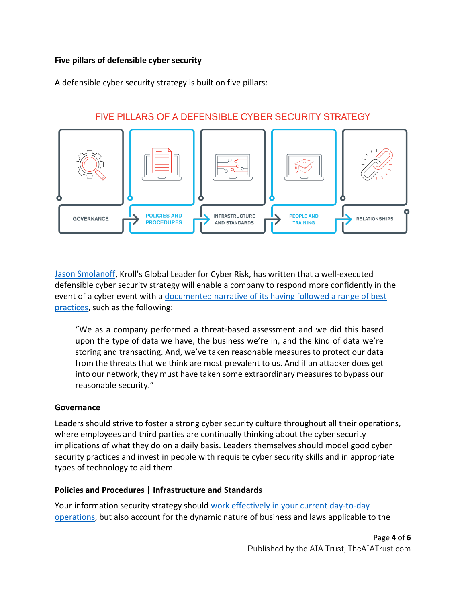## **Five pillars of defensible cyber security**

A defensible cyber security strategy is built on five pillars:



# FIVE PILLARS OF A DEFENSIBLE CYBER SECURITY STRATEGY

[Jason Smolanoff,](https://www.kroll.com/en/our-team/jason-n-smolanoff) Kroll's Global Leader for Cyber Risk, has written that a well-executed defensible cyber security strategy will enable a company to respond more confidently in the event of a cyber event with a documented narrative of its having followed a range of best [practices,](https://www.kroll.com/en/insights/publications/cyber/proactive-information-security-strategy) such as the following:

"We as a company performed a threat-based assessment and we did this based upon the type of data we have, the business we're in, and the kind of data we're storing and transacting. And, we've taken reasonable measures to protect our data from the threats that we think are most prevalent to us. And if an attacker does get into our network, they must have taken some extraordinary measures to bypass our reasonable security."

## **Governance**

Leaders should strive to foster a strong cyber security culture throughout all their operations, where employees and third parties are continually thinking about the cyber security implications of what they do on a daily basis. Leaders themselves should model good cyber security practices and invest in people with requisite cyber security skills and in appropriate types of technology to aid them.

#### **Policies and Procedures | Infrastructure and Standards**

Your information security strategy should [work effectively in your current day-to-day](https://www.kroll.com/en/insights/publications/cyber/information-security-employees-can-be-important)  [operations,](https://www.kroll.com/en/insights/publications/cyber/information-security-employees-can-be-important) but also account for the dynamic nature of business and laws applicable to the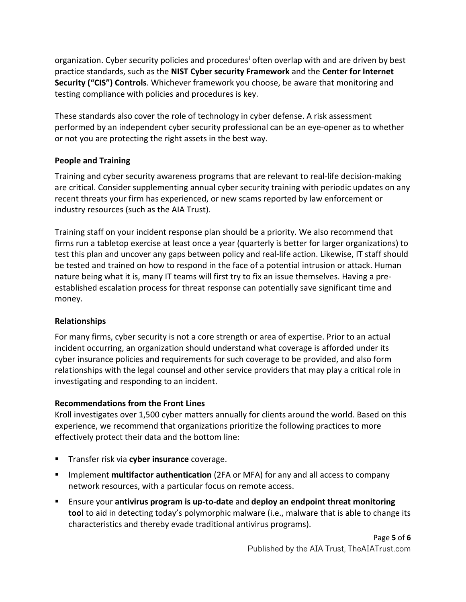organ[i](#page-5-0)zation. Cyber security policies and procedures<sup>i</sup> often overlap with and are driven by best practice standards, such as the **NIST Cyber security Framework** and the **Center for Internet Security ("CIS") Controls**. Whichever framework you choose, be aware that monitoring and testing compliance with policies and procedures is key.

These standards also cover the role of technology in cyber defense. A risk assessment performed by an independent cyber security professional can be an eye-opener as to whether or not you are protecting the right assets in the best way.

# **People and Training**

Training and cyber security awareness programs that are relevant to real-life decision-making are critical. Consider supplementing annual cyber security training with periodic updates on any recent threats your firm has experienced, or new scams reported by law enforcement or industry resources (such as the AIA Trust).

Training staff on your incident response plan should be a priority. We also recommend that firms run a tabletop exercise at least once a year (quarterly is better for larger organizations) to test this plan and uncover any gaps between policy and real-life action. Likewise, IT staff should be tested and trained on how to respond in the face of a potential intrusion or attack. Human nature being what it is, many IT teams will first try to fix an issue themselves. Having a preestablished escalation process for threat response can potentially save significant time and money.

## **Relationships**

For many firms, cyber security is not a core strength or area of expertise. Prior to an actual incident occurring, an organization should understand what coverage is afforded under its cyber insurance policies and requirements for such coverage to be provided, and also form relationships with the legal counsel and other service providers that may play a critical role in investigating and responding to an incident.

## **Recommendations from the Front Lines**

Kroll investigates over 1,500 cyber matters annually for clients around the world. Based on this experience, we recommend that organizations prioritize the following practices to more effectively protect their data and the bottom line:

- **Transfer risk via cyber insurance** coverage.
- **IMPLEM** 11 Implement **multifactor authentication** (2FA or MFA) for any and all access to company network resources, with a particular focus on remote access.
- Ensure your **antivirus program is up-to-date** and **deploy an endpoint threat monitoring tool** to aid in detecting today's polymorphic malware (i.e., malware that is able to change its characteristics and thereby evade traditional antivirus programs).